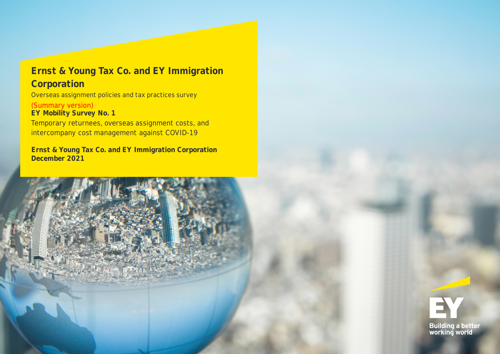### **Ernst & Young Tax Co. and EY Immigration Corporation**

Overseas assignment policies and tax practices survey

**EY Mobility Survey No. 1** Temporary returnees, overseas assignment costs, and intercompany cost management against COVID-19 (Summary version)

**December 2021 Ernst & Young Tax Co. and EY Immigration Corporation**



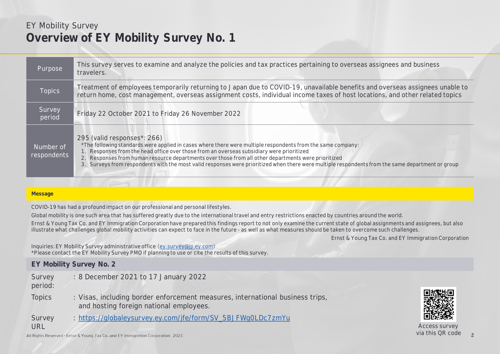### **Overview of EY Mo[bility Surv](mailto:ey.survey@jp.ey.com)ey No. 1** EY Mobility Survey

| Purpose                  | This survey serves to examine and analyze the policies and tax practices pertaining to overseas assignees and business<br>travelers.                                                                                                                                                                                                                                                                                                                                                                |
|--------------------------|-----------------------------------------------------------------------------------------------------------------------------------------------------------------------------------------------------------------------------------------------------------------------------------------------------------------------------------------------------------------------------------------------------------------------------------------------------------------------------------------------------|
| <b>Topics</b>            | Treatment of employees temporarily returning to Japan due to COVID-19, unavailable benefits and overseas assignees unable to<br>return home, cost management, overseas assignment costs, individual income taxes of host locations, and other related topics                                                                                                                                                                                                                                        |
| Survey<br>period         | Friday 22 October 2021 to Friday 26 November 2022                                                                                                                                                                                                                                                                                                                                                                                                                                                   |
| Number of<br>respondents | 295 (valid responses*: 266)<br>*The following standards were applied in cases where there were multiple respondents from the same company:<br>1. Responses from the head office over those from an overseas subsidiary were prioritized<br>2. Responses from human resource departments over those from all other departments were prioritized<br>3. Surveys from respondents with the most valid responses were prioritized when there were multiple respondents from the same department or group |

#### **Message**

COVID-19 has had a profound impact on our professional and personal lifestyles.

Global mobility is one such area that has suffered greatly due to the international travel and entry restrictions enacted by countries around the world.

Ernst & Young Tax Co. and EY Immigration Corporation have prepared this findings report to not only examine the current state of global assignments and assignees, but also illustrate what challenges global mobility activities can expect to face in the future - as well as what measures should be taken to overcome such challenges.

Ernst & Young Tax Co. and EY Immigration Corporation

Inquiries: EY Mobility Survey administrative office (ey.survey@jp.ey.com) \*Please contact the EY Mobility Survey PMO if planning to use or cite the results of this survey.

**EY Mobility Survey No. 2**

**Survey** : 8 December 2021 to 17 January 2022

period:

- Topics : Visas, including border enforcement measures, international business trips, and hosting foreign national employees.
- Survey URL : https://globaleysurvey.ey.com/jfe/form/SV\_5BJFWg0LDc7zmYu



Access survey via this QR code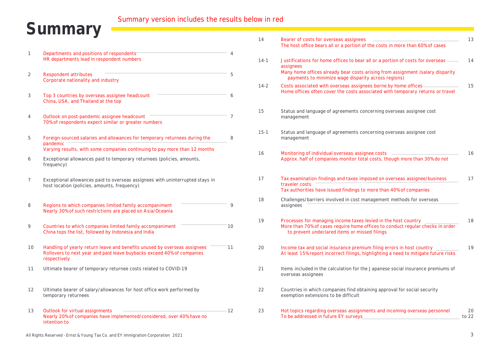# Summary

| 1  | Departments and positions of respondents<br>HR departments lead in respondent numbers                                                                                | 4  |
|----|----------------------------------------------------------------------------------------------------------------------------------------------------------------------|----|
| 2  | <b>Respondent attributes</b><br>Corporate nationality and industry                                                                                                   | 5  |
| 3  | Top 3 countries by overseas assignee headcount<br>China, USA, and Thailand at the top                                                                                | 6  |
| 4  | Outlook on post-pandemic assignee headcount<br>70% of respondents expect similar or greater numbers                                                                  | 7  |
| 5  | Foreign-sourced salaries and allowances for temporary returnees during the<br>pandemic<br>Varying results, with some companies continuing to pay more than 12 months | 8  |
| 6  | Exceptional allowances paid to temporary returnees (policies, amounts,<br>frequency)                                                                                 |    |
| 7  | Exceptional allowances paid to overseas assignees with uninterrupted stays in<br>host location (policies, amounts, frequency)                                        |    |
| 8  | Regions to which companies limited family accompaniment<br>Nearly 30% of such restrictions are placed on Asia/Oceania                                                | 9  |
| 9  | Countries to which companies limited family accompaniment<br>China tops the list, followed by Indonesia and India                                                    | 10 |
| 10 | Handling of yearly return leave and benefits unused by overseas assignees<br>Rollovers to next year and paid leave buybacks exceed 40% of companies<br>respectively  | 11 |
| 11 | Ultimate bearer of temporary returnee costs related to COVID-19                                                                                                      |    |
| 12 | Ultimate bearer of salary/allowances for host office work performed by<br>temporary returnees                                                                        |    |
| 13 | Outlook for virtual assignments<br>Nearly 20% of companies have implemented/considered, over 40% have no<br>intention to                                             | 12 |

| 14     | Bearer of costs for overseas assignees<br>13                                                                                                                                          |  |
|--------|---------------------------------------------------------------------------------------------------------------------------------------------------------------------------------------|--|
|        | The host office bears all or a portion of the costs in more than 60% of cases                                                                                                         |  |
| $14-1$ | Justifications for home offices to bear all or a portion of costs for overseas -<br>14<br>assignees<br>Many home offices already bear costs arising from assignment (salary disparity |  |
|        | payments to minimize wage disparity across regions)                                                                                                                                   |  |
| 14-2   | 15<br>Costs associated with overseas assignees borne by home offices<br>Home offices often cover the costs associated with temporary returns or travel                                |  |
| 15     | Status and language of agreements concerning overseas assignee cost<br>management                                                                                                     |  |
| $15-1$ | Status and language of agreements concerning overseas assignee cost<br>management                                                                                                     |  |
| 16     | 16<br>Monitoring of individual overseas assignee costs<br>Approx. half of companies monitor total costs, though more than 30% do not                                                  |  |
| 17     | Tax examination findings and taxes imposed on overseas assignee/business<br>17<br>traveler costs<br>Tax authorities have issued findings to more than 40% of companies                |  |
| 18     | Challenges/barriers involved in cost management methods for overseas<br>assignees                                                                                                     |  |
| 19     | 18<br>Processes for managing income taxes levied in the host country                                                                                                                  |  |
|        | More than 70% of cases require home offices to conduct reqular checks in order<br>to prevent undeclared items or missed filings                                                       |  |
| 20     | 19<br>Income tax and social insurance premium filing errors in host country<br>At least 15% report incorrect filings, highlighting a need to mitigate future risks                    |  |
| 21     | Items included in the calculation for the Japanese social insurance premiums of<br>overseas assignees                                                                                 |  |
| 22     | Countries in which companies find obtaining approval for social security<br>exemption extensions to be difficult                                                                      |  |
| 23     | Hot topics regarding overseas assignments and incoming overseas personnel<br>20<br>To be addressed in future EY surveys<br>to 22                                                      |  |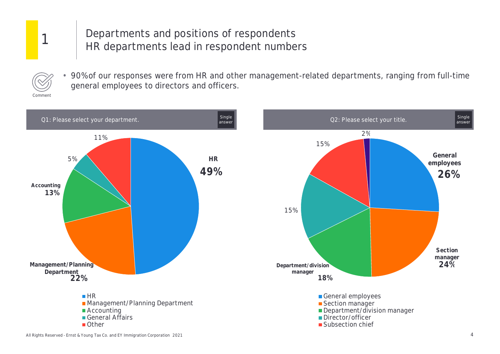

### Departments and positions of respondents HR departments lead in respondent numbers

Comment

• 90% of our responses were from HR and other management-related departments, ranging from full-time general employees to directors and officers.



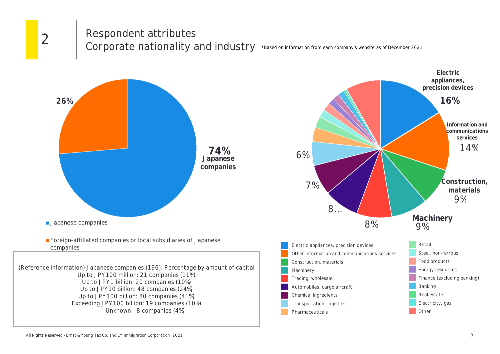

## Respondent attributes Corporate nationality and industry  $\rightarrow$ Based on information from each company's website as of December 2021

2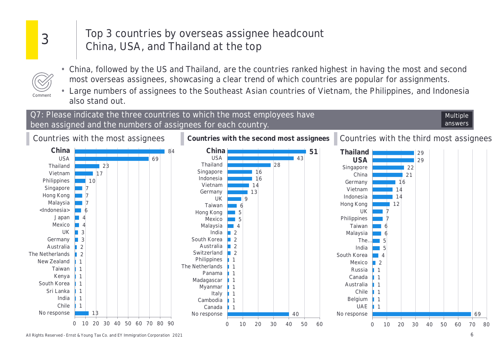### Top 3 countries by overseas assignee headcount China, USA, and Thailand at the top



- China, followed by the US and Thailand, are the countries ranked highest in having the most and second most overseas assignees, showcasing a clear trend of which countries are popular for assignments.
- Large numbers of assignees to the Southeast Asian countries of Vietnam, the Philippines, and Indonesia also stand out.

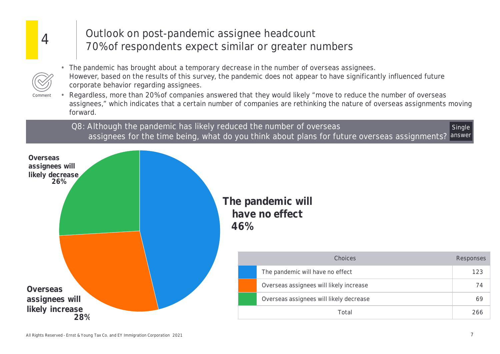

### Outlook on post-pandemic assignee headcount 70% of respondents expect similar or greater numbers

- 
- The pandemic has brought about a temporary decrease in the number of overseas assignees. However, based on the results of this survey, the pandemic does not appear to have significantly influenced future corporate behavior regarding assignees.
- Comment • Regardless, more than 20% of companies answered that they would likely "move to reduce the number of overseas assignees," which indicates that a certain number of companies are rethinking the nature of overseas assignments moving forward.

Q8: Although the pandemic has likely reduced the number of overseas assignees for the time being, what do you think about plans for future overseas assignments? answer Single

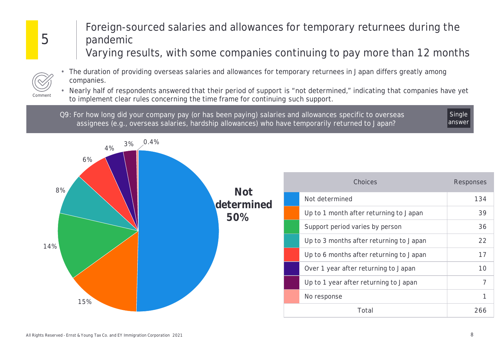Comment

Foreign-sourced salaries and allowances for temporary returnees during the pandemic Varying results, with some companies continuing to pay more than 12 months

- The duration of providing overseas salaries and allowances for temporary returnees in Japan differs greatly among companies.
- Nearly half of respondents answered that their period of support is "not determined," indicating that companies have yet to implement clear rules concerning the time frame for continuing such support.
- Q9: For how long did your company pay (or has been paying) salaries and allowances specific to overseas assignees (e.g., overseas salaries, hardship allowances) who have temporarily returned to Japan?

**Single** answer

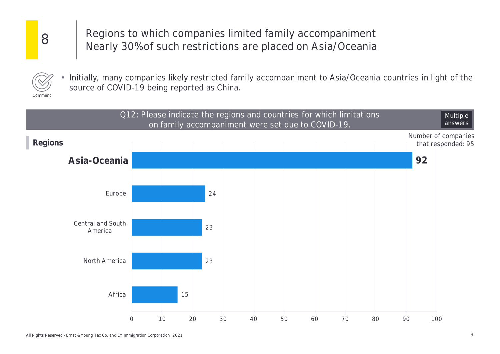Regions to which companies limited family accompaniment Nearly 30% of such restrictions are placed on Asia/Oceania

Comment

• Initially, many companies likely restricted family accompaniment to Asia/Oceania countries in light of the source of COVID-19 being reported as China.

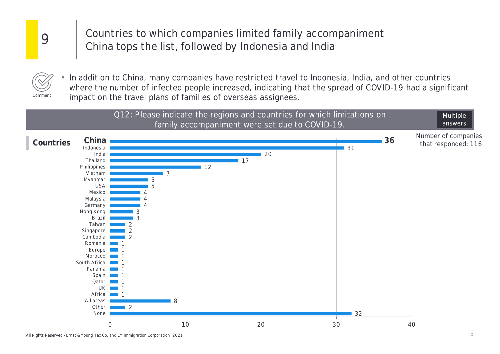Countries to which companies limited family accompaniment China tops the list, followed by Indonesia and India

Comment • In addition to China, many companies have restricted travel to Indonesia, India, and other countries where the number of infected people increased, indicating that the spread of COVID-19 had a significant impact on the travel plans of families of overseas assignees.

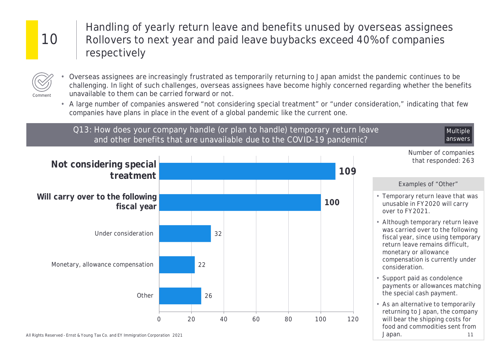Handling of yearly return leave and benefits unused by overseas assignees Rollovers to next year and paid leave buybacks exceed 40% of companies respectively

- Comment
- Overseas assignees are increasingly frustrated as temporarily returning to Japan amidst the pandemic continues to be challenging. In light of such challenges, overseas assignees have become highly concerned regarding whether the benefits unavailable to them can be carried forward or not.
- A large number of companies answered "not considering special treatment" or "under consideration," indicating that few companies have plans in place in the event of a global pandemic like the current one.



Japan.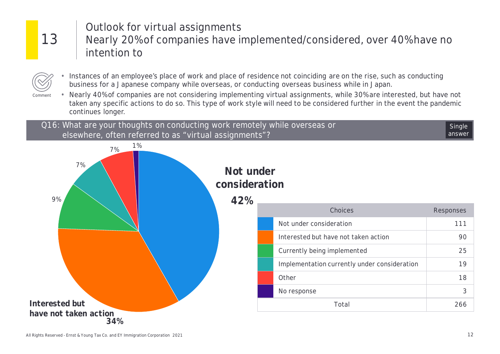### Outlook for virtual assignments Nearly 20% of companies have implemented/considered, over 40% have no intention to

- Instances of an employee's place of work and place of residence not coinciding are on the rise, such as conducting business for a Japanese company while overseas, or conducting overseas business while in Japan.
- Comment • Nearly 40% of companies are not considering implementing virtual assignments, while 30% are interested, but have not taken any specific actions to do so. This type of work style will need to be considered further in the event the pandemic continues longer.

Q16: What are your thoughts on conducting work remotely while overseas or elsewhere, often referred to as "virtual assignments"?

**Single** answer

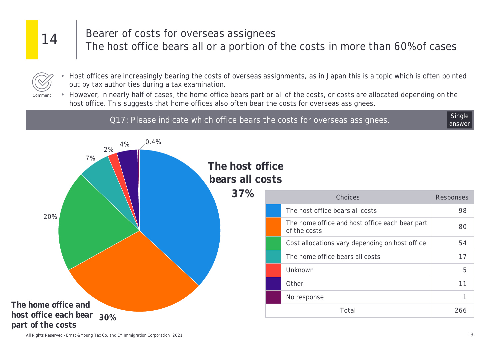

### 14 Bearer of costs for overseas assignees The host office bears all or a portion of the costs in more than 60% of cases

- Host offices are increasingly bearing the costs of overseas assignments, as in Japan this is a topic which is often pointed out by tax authorities during a tax examination.
- Comment • However, in nearly half of cases, the home office bears part or all of the costs, or costs are allocated depending on the host office. This suggests that home offices also often bear the costs for overseas assignees.

### Q17: Please indicate which office bears the costs for overseas assignees.

**Single** answer

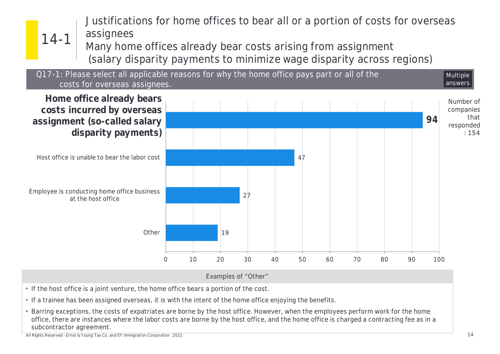

Examples of "Other"

- If the host office is a joint venture, the home office bears a portion of the cost.
- If a trainee has been assigned overseas, it is with the intent of the home office enjoying the benefits.
- Barring exceptions, the costs of expatriates are borne by the host office. However, when the employees perform work for the home office, there are instances where the labor costs are borne by the host office, and the home office is charged a contracting fee as in a subcontractor agreement.

All Rights Reserved - Ernst & Young Tax Co. and EY Immigration Corporation 2021 14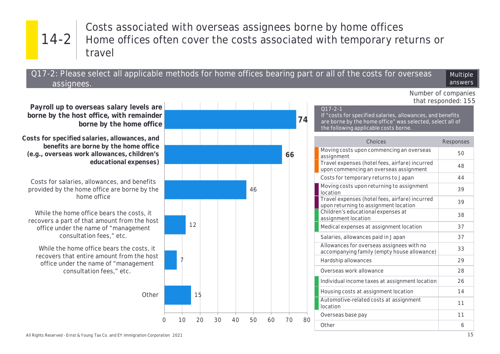

Costs associated with overseas assignees borne by home offices Home offices often cover the costs associated with temporary returns or travel

Q17-2: Please select all applicable methods for home offices bearing part or all of the costs for overseas assignees.

> Number of companies that responded: 155

Multiple answers

Payron up to overcede calary levels are borne by the boot office, with remainder borne by the host office, with remainder home office **borne by the home office Payroll up to overseas salary levels are**

Costs for specified salaries, allowances, and **benefits are borne by the home office** benefits are borne by the home office overseas work allowances, children's **(e.g., overseas work allowances, children's** educational expenses) **educational expenses) Costs for specified salaries, allowances, and**

Costs for salaries, allowances, and benefits provided by the home office are borne by the home office

While the home office bears the costs, it recovers a part of that amount from the host office under the name of "management consultation fees," etc.

While the home office bears the costs, it recovers that entire amount from the host office under the name of "management consultation fees," etc.



Q17-2-1 If "costs for specified salaries, allowances, and benefits are borne by the home office" was selected, select all of the following applicable costs borne.

| Choices                                                                                  | Responses |
|------------------------------------------------------------------------------------------|-----------|
| Moving costs upon commencing an overseas<br>assignment                                   | 50        |
| Travel expenses (hotel fees, airfare) incurred<br>upon commencing an overseas assignment | 48        |
| Costs for temporary returns to Japan                                                     | 44        |
| Moving costs upon returning to assignment<br>location                                    | 39        |
| Travel expenses (hotel fees, airfare) incurred<br>upon returning to assignment location  | 39        |
| Children's educational expenses at<br>assignment location                                | 38        |
| Medical expenses at assignment location                                                  | 37        |
| Salaries, allowances paid in Japan                                                       | 37        |
| Allowances for overseas assignees with no<br>accompanying family (empty house allowance) | 33        |
| Hardship allowances                                                                      | 29        |
| Overseas work allowance                                                                  | 28        |
| Individual income taxes at assignment location                                           | 26        |
| Housing costs at assignment location                                                     | 14        |
| Automotive-related costs at assignment<br>location                                       | 11        |
| Overseas base pay                                                                        | 11        |
| Other                                                                                    | 6         |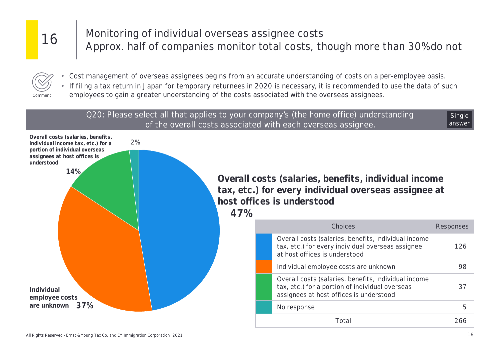

Comment

### 16 Monitoring of individual overseas assignee costs Approx. half of companies monitor total costs, though more than 30% do not

• Cost management of overseas assignees begins from an accurate understanding of costs on a per-employee basis.

• If filing a tax return in Japan for temporary returnees in 2020 is necessary, it is recommended to use the data of such employees to gain a greater understanding of the costs associated with the overseas assignees.

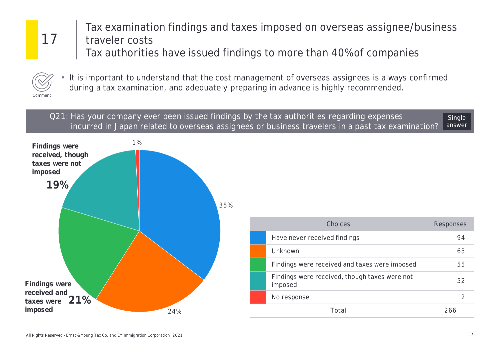Tax examination findings and taxes imposed on overseas assignee/business traveler costs Tax authorities have issued findings to more than 40% of companies

**Comment** 

• It is important to understand that the cost management of overseas assignees is always confirmed during a tax examination, and adequately preparing in advance is highly recommended.

Q21: Has your company ever been issued findings by the tax authorities regarding expenses incurred in Japan related to overseas assignees or business travelers in a past tax examination? Single answer



|       | Choices                                                  | Responses |
|-------|----------------------------------------------------------|-----------|
|       | Have never received findings                             | 94        |
|       | Unknown                                                  | 63        |
|       | Findings were received and taxes were imposed            | 55        |
|       | Findings were received, though taxes were not<br>imposed | 52        |
|       | No response                                              |           |
| Total |                                                          | 266       |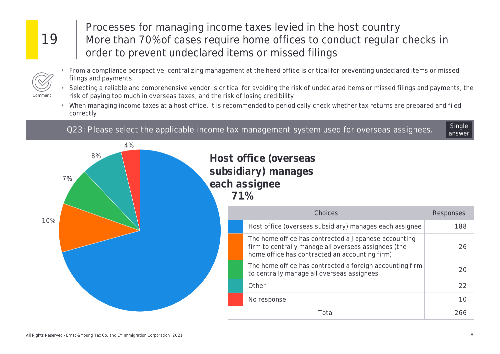Processes for managing income taxes levied in the host country More than 70% of cases require home offices to conduct regular checks in order to prevent undeclared items or missed filings

- Comment
- From a compliance perspective, centralizing management at the head office is critical for preventing undeclared items or missed filings and payments.
- Selecting a reliable and comprehensive vendor is critical for avoiding the risk of undeclared items or missed filings and payments, the risk of paying too much in overseas taxes, and the risk of losing credibility.
- When managing income taxes at a host office, it is recommended to periodically check whether tax returns are prepared and filed correctly.

Q23: Please select the applicable income tax management system used for overseas assignees.

**Single** answer



26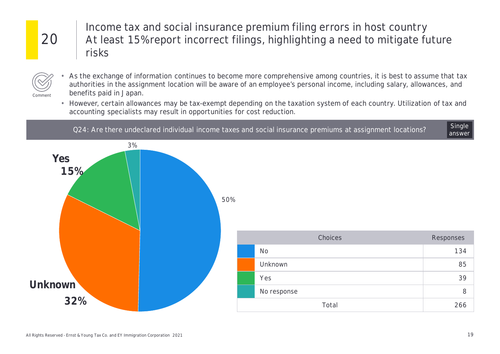Income tax and social insurance premium filing errors in host country At least 15% report incorrect filings, highlighting a need to mitigate future risks

- Comment
- As the exchange of information continues to become more comprehensive among countries, it is best to assume that tax authorities in the assignment location will be aware of an employee's personal income, including salary, allowances, and benefits paid in Japan.
- However, certain allowances may be tax-exempt depending on the taxation system of each country. Utilization of tax and accounting specialists may result in opportunities for cost reduction.



**Single** answer

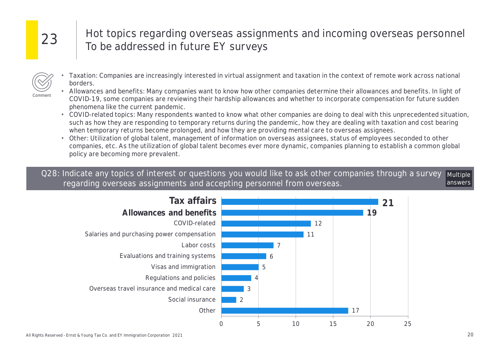Comment

### 23 Hot topics regarding overseas assignments and incoming overseas personnel To be addressed in future EY surveys

- Taxation: Companies are increasingly interested in virtual assignment and taxation in the context of remote work across national borders.
	- Allowances and benefits: Many companies want to know how other companies determine their allowances and benefits. In light of COVID-19, some companies are reviewing their hardship allowances and whether to incorporate compensation for future sudden phenomena like the current pandemic.
	- COVID-related topics: Many respondents wanted to know what other companies are doing to deal with this unprecedented situation, such as how they are responding to temporary returns during the pandemic, how they are dealing with taxation and cost bearing when temporary returns become prolonged, and how they are providing mental care to overseas assignees.
	- Other: Utilization of global talent, management of information on overseas assignees, status of employees seconded to other companies, etc. As the utilization of global talent becomes ever more dynamic, companies planning to establish a common global policy are becoming more prevalent.

Q28: Indicate any topics of interest or questions you would like to ask other companies through a survey regarding overseas assignments and accepting personnel from overseas. Multiple answers

![](_page_19_Figure_7.jpeg)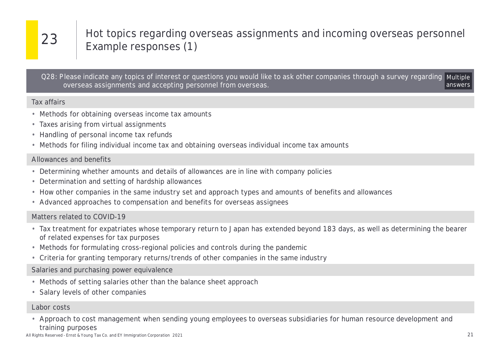### 23 Hot topics regarding overseas assignments and incoming overseas personnel Example responses (1)

Q28: Please indicate any topics of interest or questions you would like to ask other companies through a survey regarding Multiple overseas assignments and accepting personnel from overseas. answers

#### Tax affairs

- Methods for obtaining overseas income tax amounts
- Taxes arising from virtual assignments
- Handling of personal income tax refunds
- Methods for filing individual income tax and obtaining overseas individual income tax amounts

#### Allowances and benefits

- Determining whether amounts and details of allowances are in line with company policies
- Determination and setting of hardship allowances
- How other companies in the same industry set and approach types and amounts of benefits and allowances
- Advanced approaches to compensation and benefits for overseas assignees

#### Matters related to COVID-19

- Tax treatment for expatriates whose temporary return to Japan has extended beyond 183 days, as well as determining the bearer of related expenses for tax purposes
- Methods for formulating cross-regional policies and controls during the pandemic
- Criteria for granting temporary returns/trends of other companies in the same industry

#### Salaries and purchasing power equivalence

- Methods of setting salaries other than the balance sheet approach
- Salary levels of other companies

#### Labor costs

• Approach to cost management when sending young employees to overseas subsidiaries for human resource development and training purposes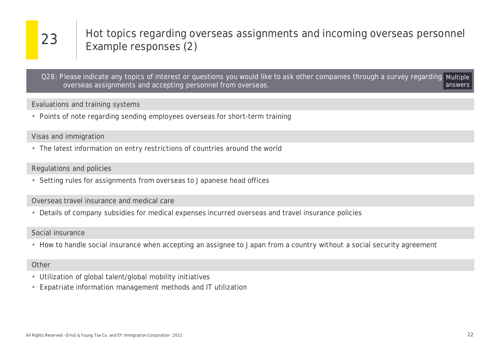### 23 Hot topics regarding overseas assignments and incoming overseas personnel Example responses (2)

Q28: Please indicate any topics of interest or questions you would like to ask other companies through a survey regarding Multiple overseas assignments and accepting personnel from overseas. answers

#### Evaluations and training systems

• Points of note regarding sending employees overseas for short-term training

#### Visas and immigration

• The latest information on entry restrictions of countries around the world

#### Regulations and policies

• Setting rules for assignments from overseas to Japanese head offices

#### Overseas travel insurance and medical care

• Details of company subsidies for medical expenses incurred overseas and travel insurance policies

#### Social insurance

• How to handle social insurance when accepting an assignee to Japan from a country without a social security agreement

#### **Other**

- Utilization of global talent/global mobility initiatives
- Expatriate information management methods and IT utilization